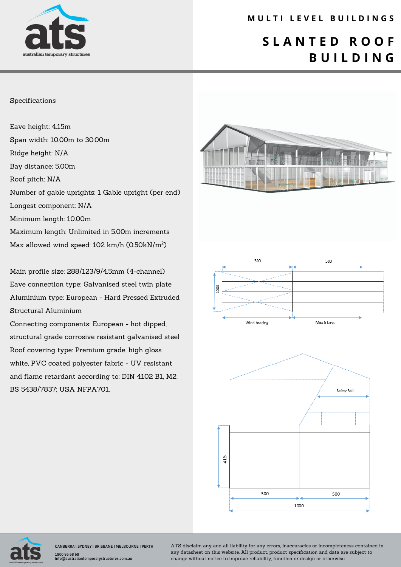

### **M U L T I L E V E L B U I L D I N G S**

## **S L A N T E D R O O F B U I L D I N G**

#### Specifications

Eave height: 4.15m Span width: 10.00m to 30.00m Ridge height: N/A Bay distance: 5.00m Roof pitch: N/A Number of gable uprights: 1 Gable upright (per end) Longest component: N/A Minimum length: 10.00m Maximum length: Unlimited in 5.00m increments Max allowed wind speed: 102 km/h (0.50kN/m²)

Main profile size: 288/123/9/4.5mm (4-channel) Eave connection type: Galvanised steel twin plate Aluminium type: European - Hard Pressed Extruded Structural Aluminium

Connecting components: European - hot dipped, structural grade corrosive resistant galvanised steel Roof covering type: Premium grade, high gloss white, PVC coated polyester fabric - UV resistant and flame retardant according to: DIN 4102 B1, M2; BS 5438/7837; USA NFPA701.







CANBERRA I SYDNEY I BRISBANE I MELBOURNE I PERTH 1800 86 68 68 info@australiantemporarystructures.com.au

ATS disclaim any and all liability for any errors, inaccuracies or incompleteness contained in any datasheet on this website. All product, product specification and data are subject to change without notice to improve reliability, function or design or otherwise.